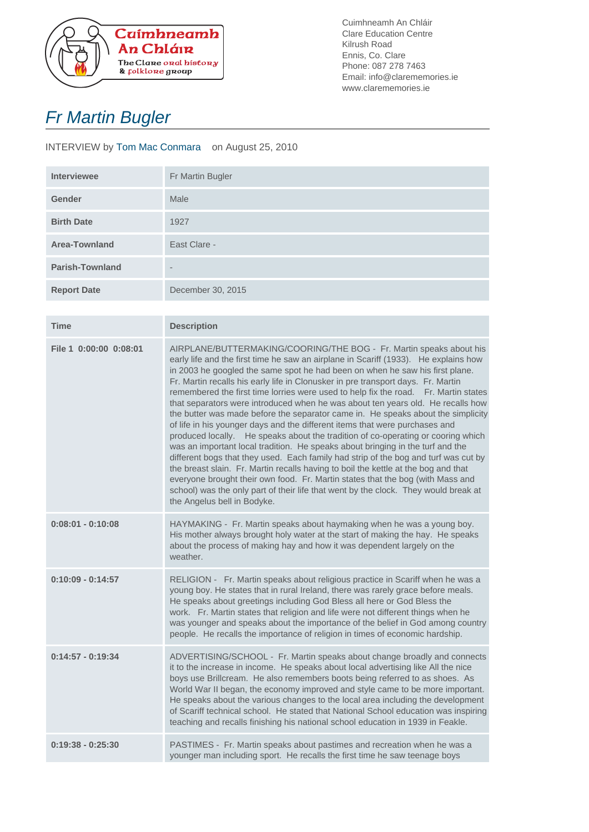

Cuimhneamh An Chláir Clare Education Centre Kilrush Road Ennis, Co. Clare Phone: 087 278 7463 Email: info@clarememories.ie www.clarememories.ie

## Fr Martin Bugler

INTERVIEW by Tom Mac Conmara on August 25, 2010

| <b>Interviewee</b>     | Fr Martin Bugler         |
|------------------------|--------------------------|
| <b>Gender</b>          | Male                     |
| <b>Birth Date</b>      | 1927                     |
| <b>Area-Townland</b>   | East Clare -             |
| <b>Parish-Townland</b> | $\overline{\phantom{a}}$ |
| <b>Report Date</b>     | December 30, 2015        |

| <b>Time</b>            | <b>Description</b>                                                                                                                                                                                                                                                                                                                                                                                                                                                                                                                                                                                                                                                                                                                                                                                                                                                                                                                                                                                                                                                                                                                                                                                                                     |
|------------------------|----------------------------------------------------------------------------------------------------------------------------------------------------------------------------------------------------------------------------------------------------------------------------------------------------------------------------------------------------------------------------------------------------------------------------------------------------------------------------------------------------------------------------------------------------------------------------------------------------------------------------------------------------------------------------------------------------------------------------------------------------------------------------------------------------------------------------------------------------------------------------------------------------------------------------------------------------------------------------------------------------------------------------------------------------------------------------------------------------------------------------------------------------------------------------------------------------------------------------------------|
| File 1 0:00:00 0:08:01 | AIRPLANE/BUTTERMAKING/COORING/THE BOG - Fr. Martin speaks about his<br>early life and the first time he saw an airplane in Scariff (1933). He explains how<br>in 2003 he googled the same spot he had been on when he saw his first plane.<br>Fr. Martin recalls his early life in Clonusker in pre transport days. Fr. Martin<br>remembered the first time lorries were used to help fix the road. Fr. Martin states<br>that separators were introduced when he was about ten years old. He recalls how<br>the butter was made before the separator came in. He speaks about the simplicity<br>of life in his younger days and the different items that were purchases and<br>produced locally. He speaks about the tradition of co-operating or cooring which<br>was an important local tradition. He speaks about bringing in the turf and the<br>different bogs that they used. Each family had strip of the bog and turf was cut by<br>the breast slain. Fr. Martin recalls having to boil the kettle at the bog and that<br>everyone brought their own food. Fr. Martin states that the bog (with Mass and<br>school) was the only part of their life that went by the clock. They would break at<br>the Angelus bell in Bodyke. |
| $0:08:01 - 0:10:08$    | HAYMAKING - Fr. Martin speaks about haymaking when he was a young boy.<br>His mother always brought holy water at the start of making the hay. He speaks<br>about the process of making hay and how it was dependent largely on the<br>weather.                                                                                                                                                                                                                                                                                                                                                                                                                                                                                                                                                                                                                                                                                                                                                                                                                                                                                                                                                                                        |
| $0:10:09 - 0:14:57$    | RELIGION - Fr. Martin speaks about religious practice in Scariff when he was a<br>young boy. He states that in rural Ireland, there was rarely grace before meals.<br>He speaks about greetings including God Bless all here or God Bless the<br>work. Fr. Martin states that religion and life were not different things when he<br>was younger and speaks about the importance of the belief in God among country<br>people. He recalls the importance of religion in times of economic hardship.                                                                                                                                                                                                                                                                                                                                                                                                                                                                                                                                                                                                                                                                                                                                    |
| $0:14:57 - 0:19:34$    | ADVERTISING/SCHOOL - Fr. Martin speaks about change broadly and connects<br>it to the increase in income. He speaks about local advertising like All the nice<br>boys use Brillcream. He also remembers boots being referred to as shoes. As<br>World War II began, the economy improved and style came to be more important.<br>He speaks about the various changes to the local area including the development<br>of Scariff technical school. He stated that National School education was inspiring<br>teaching and recalls finishing his national school education in 1939 in Feakle.                                                                                                                                                                                                                                                                                                                                                                                                                                                                                                                                                                                                                                             |
| $0:19:38 - 0:25:30$    | PASTIMES - Fr. Martin speaks about pastimes and recreation when he was a<br>younger man including sport. He recalls the first time he saw teenage boys                                                                                                                                                                                                                                                                                                                                                                                                                                                                                                                                                                                                                                                                                                                                                                                                                                                                                                                                                                                                                                                                                 |